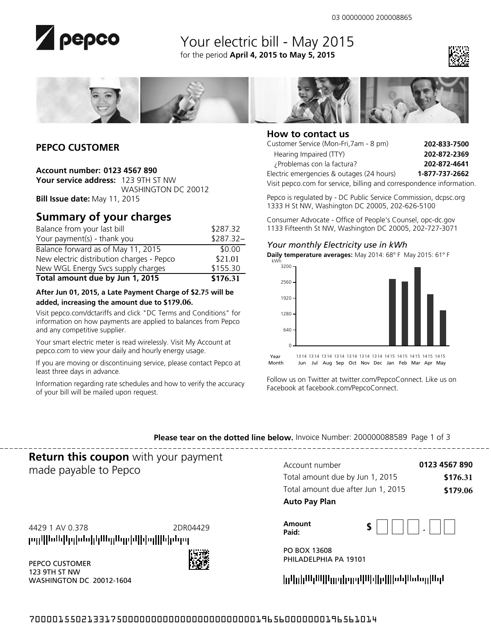

# Your electric bill - May 2015 for the period **April 4, 2015 to May 5, 2015**





## **PEPCO CUSTOMER**

### **Account number: 0123 4567 890**

**Your service address:** 123 9TH ST NW WASHINGTON DC 20012 **Bill Issue date:** May 11, 2015

# **Summary of your charges**

| Total amount due by Jun 1, 2015           | \$176.31   |
|-------------------------------------------|------------|
| New WGL Energy Svcs supply charges        | \$155.30   |
| New electric distribution charges - Pepco | \$21.01    |
| Balance forward as of May 11, 2015        | \$0.00     |
| Your payment(s) - thank you               | $$287.32-$ |
| Balance from your last bill               | \$287.32   |

### **After Jun 01, 2015, a Late Payment Charge of \$2.75 will be added, increasing the amount due to \$179.06.**

Visit pepco.com/dctariffs and click "DC Terms and Conditions" for information on how payments are applied to balances from Pepco and any competitive supplier.

Your smart electric meter is read wirelessly. Visit My Account at pepco.com to view your daily and hourly energy usage.

If you are moving or discontinuing service, please contact Pepco at least three days in advance.

Information regarding rate schedules and how to verify the accuracy of your bill will be mailed upon request.



### **How to contact us**

| Customer Service (Mon-Fri, 7am - 8 pm)                               | 202-833-7500   |
|----------------------------------------------------------------------|----------------|
| Hearing Impaired (TTY)                                               | 202-872-2369   |
| ¿Problemas con la factura?                                           | 202-872-4641   |
| Electric emergencies & outages (24 hours)                            | 1-877-737-2662 |
| Visit pepco.com for service, billing and correspondence information. |                |

Pepco is regulated by - DC Public Service Commission, dcpsc.org 1333 H St NW, Washington DC 20005, 202-626-5100

Consumer Advocate - Office of People's Counsel, opc-dc.gov 1133 Fifteenth St NW, Washington DC 20005, 202-727-3071

### *Your monthly Electricity use in kWh*



Follow us on Twitter at twitter.com/PepcoConnect. Like us on Facebook at facebook.com/PepcoConnect.

**Please tear on the dotted line below.** Invoice Number: 200000088589 Page 1 of 3

# **Return this coupon** with your payment made payable to Pepco

րդվիննեիցիննիկնեցնդրեկիցզիինինոց

PEPCO CUSTOMER 123 9TH ST NW

WASHINGTON DC 20012-1604

| Account number                     | 0123 4567 890 |
|------------------------------------|---------------|
| Total amount due by Jun 1, 2015    | \$176.31      |
| Total amount due after Jun 1, 2015 | \$179.06      |
| <b>Auto Pay Plan</b>               |               |

4429 1 AV 0.378 2DR04429 **Amount** 

| Amount | ъ |  |        |  |
|--------|---|--|--------|--|
| Paid:  |   |  | ٠<br>- |  |

PO BOX 13608 PHILADELPHIA PA 19101

700001550213317500000000000000000000000196560000000196561014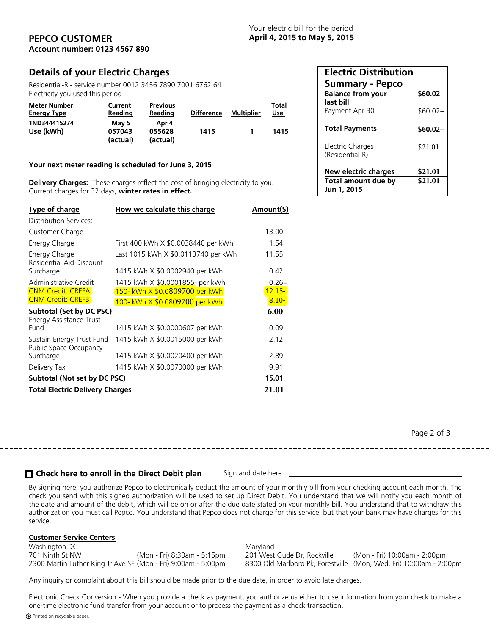### **PEPCO CUSTOMER April 4, 2015 to May 5, 2015 Account number: 0123 4567 890**

## **Details of your Electric Charges**

Residential-R - service number 0012 3456 7890 7001 6762 64 Electricity you used this period

| Meter Number<br><b>Energy Type</b> | Current<br>Reading          | <b>Previous</b><br>Reading  | <b>Difference</b> | <b>Multiplier</b> | Total<br><u>Use</u> |
|------------------------------------|-----------------------------|-----------------------------|-------------------|-------------------|---------------------|
| 1ND344415274<br>Use (kWh)          | Mav 5<br>057043<br>(actual) | Apr 4<br>055628<br>(actual) | 1415              |                   | 1415                |

#### **Your next meter reading is scheduled for June 3, 2015**

**Delivery Charges:** These charges reflect the cost of bringing electricity to you. Current charges for 32 days, **winter rates in effect.** 

| Type of charge                                                    | How we calculate this charge          | Amount(\$) |
|-------------------------------------------------------------------|---------------------------------------|------------|
| Distribution Services:                                            |                                       |            |
| Customer Charge                                                   |                                       | 13.00      |
| Energy Charge                                                     | First 400 kWh X \$0.0038440 per kWh   | 1.54       |
| Energy Charge<br>Residential Aid Discount                         | Last 1015 kWh X \$0.0113740 per kWh   | 11.55      |
| Surcharge                                                         | 1415 kWh X \$0.0002940 per kWh        | 0.42       |
| Administrative Credit                                             | 1415 kWh X \$0.0001855- per kWh       | $0.26 -$   |
| <b>CNM Credit: CREFA</b>                                          | <u>150- kWh X \$0.0809700 per kWh</u> | $12.15 -$  |
| <b>CNM Credit: CREFB</b>                                          | 100- kWh X \$0.0809700 per kWh        | $8.10 -$   |
| <b>Subtotal (Set by DC PSC)</b><br><b>Energy Assistance Trust</b> |                                       | 6.00       |
| Fund                                                              | 1415 kWh X \$0,0000607 per kWh        | 0.09       |
| Sustain Energy Trust Fund<br>Public Space Occupancy               | 1415 kWh X \$0.0015000 per kWh        | 2.12       |
| Surcharge                                                         | 1415 kWh X \$0.0020400 per kWh        | 2.89       |
| Delivery Tax                                                      | 1415 kWh X \$0.0070000 per kWh        | 9.91       |
| Subtotal (Not set by DC PSC)                                      |                                       | 15.01      |
| <b>Total Electric Delivery Charges</b>                            | 21.01                                 |            |

| <b>Electric Distribution</b>                                    |         |
|-----------------------------------------------------------------|---------|
| <b>Summary - Pepco</b><br><b>Balance from your</b><br>last bill | \$60.02 |
| Payment Apr 30                                                  | \$60.02 |
| <b>Total Payments</b>                                           | \$60.02 |
| Electric Charges<br>(Residential-R)                             | \$21.01 |
| New electric charges                                            | \$21.01 |
| <b>Total amount due by</b><br>Jun 1, 2015                       | \$21.01 |

Page 2 of 3

### **Check here to enroll in the Direct Debit plan** Sign and date here

By signing here, you authorize Pepco to electronically deduct the amount of your monthly bill from your checking account each month. The check you send with this signed authorization will be used to set up Direct Debit. You understand that we will notify you each month of the date and amount of the debit, which will be on or after the due date stated on your monthly bill. You understand that to withdraw this authorization you must call Pepco. You understand that Pepco does not charge for this service, but that your bank may have charges for this service.

#### **Customer Service Centers**

Washington DC Maryland

(Mon - Fri) 10:00am - 2:00pm 2300 Martin Luther King Jr Ave SE (Mon - Fri) 9:00am - 5:00pm 8300 Old Marlboro Pk, Forestville (Mon, Wed, Fri) 10:00am - 2:00pm

Any inquiry or complaint about this bill should be made prior to the due date, in order to avoid late charges.

Electronic Check Conversion - When you provide a check as payment, you authorize us either to use information from your check to make a one-time electronic fund transfer from your account or to process the payment as a check transaction. Printed on recyclable paper.